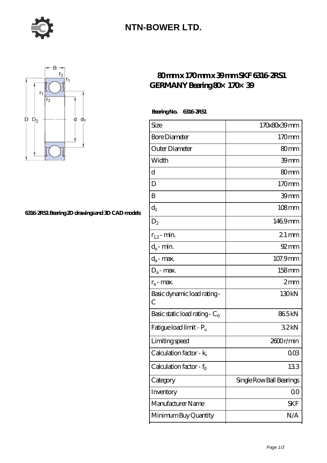

### **[NTN-BOWER LTD.](https://m.moreymansion.com)**



#### **[6316-2RS1 Bearing 2D drawings and 3D CAD models](https://m.moreymansion.com/pic-304961.html)**

### **[80 mm x 170 mm x 39 mm SKF 6316-2RS1](https://m.moreymansion.com/at-304961-skf-6316-2rs1-germany-bearing-80-170-39.html)** GERMANY Bearing 80x 170x 39

 **Bearing No. 6316-2RS1**

| Size                                | 170x80x39mm              |
|-------------------------------------|--------------------------|
| <b>Bore Diameter</b>                | 170mm                    |
| Outer Diameter                      | 80 <sub>mm</sub>         |
| Width                               | 39mm                     |
| d                                   | 80mm                     |
| D                                   | 170mm                    |
| B                                   | 39mm                     |
| $d_1$                               | $108 \text{mm}$          |
| $\mathrm{D}_2$                      | 1469mm                   |
| $r_{1,2}$ - min.                    | $21$ mm                  |
| $d_a$ - min.                        | $92 \text{mm}$           |
| $d_a$ - max.                        | 107.9mm                  |
| $D_a$ - max.                        | 158mm                    |
| $r_a$ - max.                        | 2mm                      |
| Basic dynamic load rating-<br>С     | 130kN                    |
| Basic static load rating - $C_0$    | 865kN                    |
| Fatigue load limit - P <sub>u</sub> | 32kN                     |
| Limiting speed                      | 2600r/min                |
| Calculation factor - $k_r$          | $00\%$                   |
| Calculation factor - f <sub>0</sub> | 133                      |
| Category                            | Single Row Ball Bearings |
| Inventory                           | 00                       |
| Manufacturer Name                   | <b>SKF</b>               |
| Minimum Buy Quantity                | N/A                      |
|                                     |                          |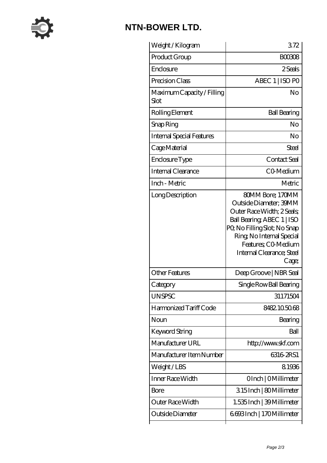

# **[NTN-BOWER LTD.](https://m.moreymansion.com)**

| Weight / Kilogram                  | 372                                                                                                                                                                                                                             |
|------------------------------------|---------------------------------------------------------------------------------------------------------------------------------------------------------------------------------------------------------------------------------|
| Product Group                      | <b>BOO308</b>                                                                                                                                                                                                                   |
| Enclosure                          | 2 Seals                                                                                                                                                                                                                         |
| Precision Class                    | ABEC 1   ISO PO                                                                                                                                                                                                                 |
| Maximum Capacity / Filling<br>Slot | No                                                                                                                                                                                                                              |
| Rolling Element                    | <b>Ball Bearing</b>                                                                                                                                                                                                             |
| Snap Ring                          | No                                                                                                                                                                                                                              |
| <b>Internal Special Features</b>   | No                                                                                                                                                                                                                              |
| Cage Material                      | Steel                                                                                                                                                                                                                           |
| Enclosure Type                     | Contact Seal                                                                                                                                                                                                                    |
| Internal Clearance                 | CO-Medium                                                                                                                                                                                                                       |
| Inch - Metric                      | Metric                                                                                                                                                                                                                          |
| Long Description                   | 80MM Bore; 170MM<br>Outside Diameter; 39MM<br>Outer Race Width; 2 Seals;<br>Ball Bearing, ABEC 1   ISO<br>PQ No Filling Slot; No Snap<br>Ring, No Internal Special<br>Features; CO-Medium<br>Internal Clearance; Steel<br>Cage; |
| <b>Other Features</b>              | Deep Groove   NBR Seal                                                                                                                                                                                                          |
| Category                           | Single Row Ball Bearing                                                                                                                                                                                                         |
| <b>UNSPSC</b>                      | 31171504                                                                                                                                                                                                                        |
| Harmonized Tariff Code             | 8482105068                                                                                                                                                                                                                      |
| Noun                               | Bearing                                                                                                                                                                                                                         |
| Keyword String                     | Ball                                                                                                                                                                                                                            |
| Manufacturer URL                   | http://www.skf.com                                                                                                                                                                                                              |
| Manufacturer Item Number           | 6316 2RS1                                                                                                                                                                                                                       |
| Weight/LBS                         | 81936                                                                                                                                                                                                                           |
| Inner Race Width                   | OInch   OMillimeter                                                                                                                                                                                                             |
| Bore                               | 315Inch   80Millimeter                                                                                                                                                                                                          |
| Outer Race Width                   | 1.535 Inch   39 Millimeter                                                                                                                                                                                                      |
| Outside Diameter                   | 6693Inch   170Millimeter                                                                                                                                                                                                        |